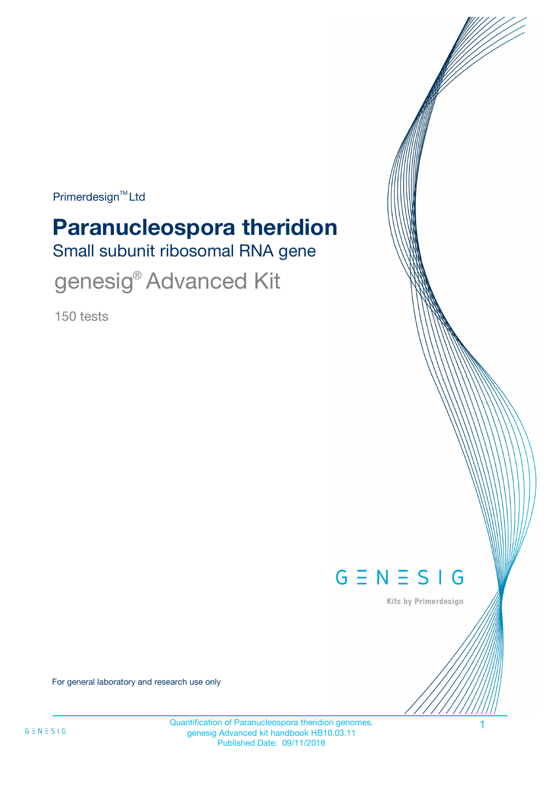$Primerdesign^{\text{TM}}$ Ltd

# **Paranucleospora theridion**

Small subunit ribosomal RNA gene

genesig<sup>®</sup> Advanced Kit

150 tests



Kits by Primerdesign

For general laboratory and research use only

Quantification of Paranucleospora theridion genomes. 1 genesig Advanced kit handbook HB10.03.11 Published Date: 09/11/2018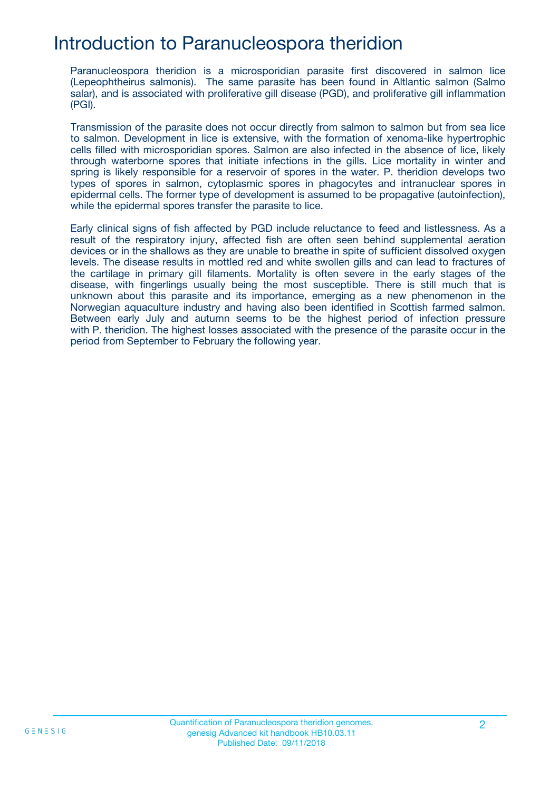### Introduction to Paranucleospora theridion

Paranucleospora theridion is a microsporidian parasite first discovered in salmon lice (Lepeophtheirus salmonis). The same parasite has been found in Altlantic salmon (Salmo salar), and is associated with proliferative gill disease (PGD), and proliferative gill inflammation (PGI).

Transmission of the parasite does not occur directly from salmon to salmon but from sea lice to salmon. Development in lice is extensive, with the formation of xenoma-like hypertrophic cells filled with microsporidian spores. Salmon are also infected in the absence of lice, likely through waterborne spores that initiate infections in the gills. Lice mortality in winter and spring is likely responsible for a reservoir of spores in the water. P. theridion develops two types of spores in salmon, cytoplasmic spores in phagocytes and intranuclear spores in epidermal cells. The former type of development is assumed to be propagative (autoinfection), while the epidermal spores transfer the parasite to lice.

Early clinical signs of fish affected by PGD include reluctance to feed and listlessness. As a result of the respiratory injury, affected fish are often seen behind supplemental aeration devices or in the shallows as they are unable to breathe in spite of sufficient dissolved oxygen levels. The disease results in mottled red and white swollen gills and can lead to fractures of the cartilage in primary gill filaments. Mortality is often severe in the early stages of the disease, with fingerlings usually being the most susceptible. There is still much that is unknown about this parasite and its importance, emerging as a new phenomenon in the Norwegian aquaculture industry and having also been identified in Scottish farmed salmon. Between early July and autumn seems to be the highest period of infection pressure with P. theridion. The highest losses associated with the presence of the parasite occur in the period from September to February the following year.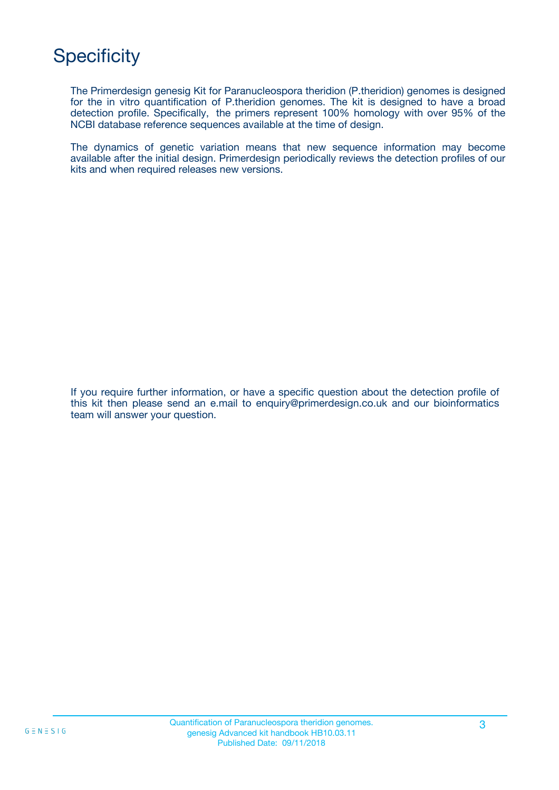# **Specificity**

The Primerdesign genesig Kit for Paranucleospora theridion (P.theridion) genomes is designed for the in vitro quantification of P.theridion genomes. The kit is designed to have a broad detection profile. Specifically, the primers represent 100% homology with over 95% of the NCBI database reference sequences available at the time of design.

The dynamics of genetic variation means that new sequence information may become available after the initial design. Primerdesign periodically reviews the detection profiles of our kits and when required releases new versions.

If you require further information, or have a specific question about the detection profile of this kit then please send an e.mail to enquiry@primerdesign.co.uk and our bioinformatics team will answer your question.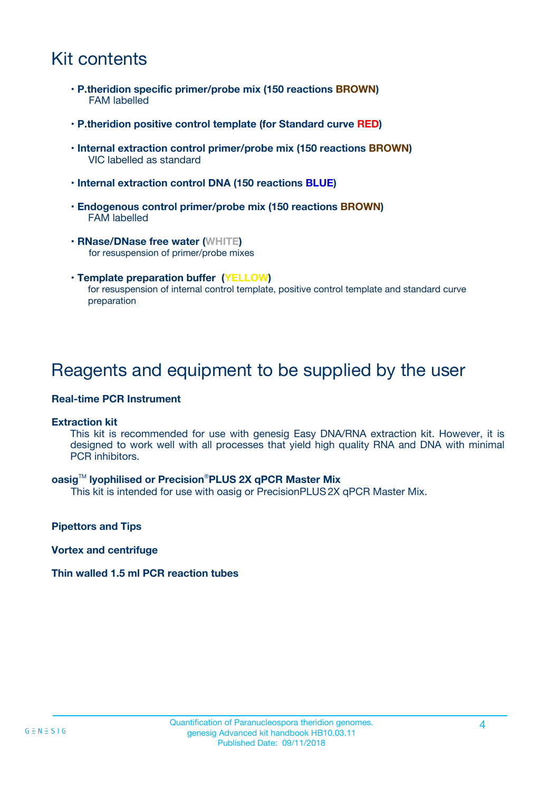### Kit contents

- **P.theridion specific primer/probe mix (150 reactions BROWN)** FAM labelled
- **P.theridion positive control template (for Standard curve RED)**
- **Internal extraction control primer/probe mix (150 reactions BROWN)** VIC labelled as standard
- **Internal extraction control DNA (150 reactions BLUE)**
- **Endogenous control primer/probe mix (150 reactions BROWN)** FAM labelled
- **RNase/DNase free water (WHITE)** for resuspension of primer/probe mixes
- **Template preparation buffer (YELLOW)** for resuspension of internal control template, positive control template and standard curve preparation

### Reagents and equipment to be supplied by the user

#### **Real-time PCR Instrument**

#### **Extraction kit**

This kit is recommended for use with genesig Easy DNA/RNA extraction kit. However, it is designed to work well with all processes that yield high quality RNA and DNA with minimal PCR inhibitors.

#### **oasig**TM **lyophilised or Precision**®**PLUS 2X qPCR Master Mix**

This kit is intended for use with oasig or PrecisionPLUS2X qPCR Master Mix.

**Pipettors and Tips**

**Vortex and centrifuge**

#### **Thin walled 1.5 ml PCR reaction tubes**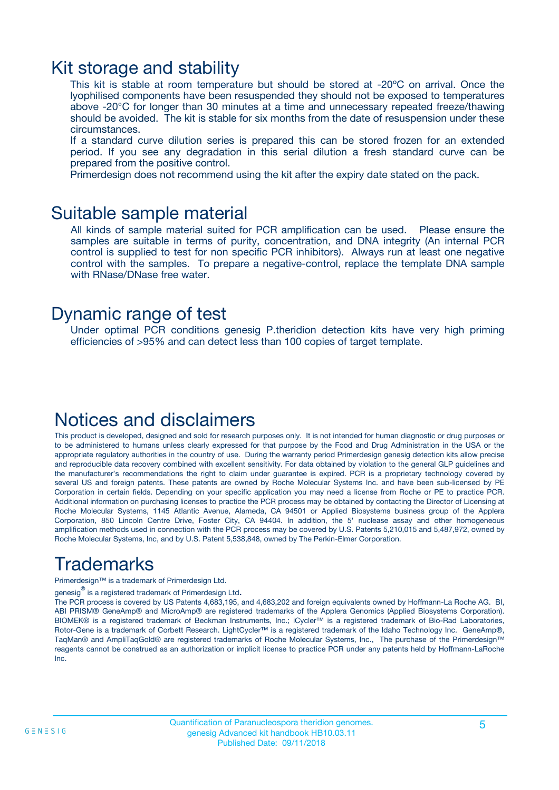### Kit storage and stability

This kit is stable at room temperature but should be stored at -20ºC on arrival. Once the lyophilised components have been resuspended they should not be exposed to temperatures above -20°C for longer than 30 minutes at a time and unnecessary repeated freeze/thawing should be avoided. The kit is stable for six months from the date of resuspension under these circumstances.

If a standard curve dilution series is prepared this can be stored frozen for an extended period. If you see any degradation in this serial dilution a fresh standard curve can be prepared from the positive control.

Primerdesign does not recommend using the kit after the expiry date stated on the pack.

### Suitable sample material

All kinds of sample material suited for PCR amplification can be used. Please ensure the samples are suitable in terms of purity, concentration, and DNA integrity (An internal PCR control is supplied to test for non specific PCR inhibitors). Always run at least one negative control with the samples. To prepare a negative-control, replace the template DNA sample with RNase/DNase free water.

### Dynamic range of test

Under optimal PCR conditions genesig P.theridion detection kits have very high priming efficiencies of >95% and can detect less than 100 copies of target template.

### Notices and disclaimers

This product is developed, designed and sold for research purposes only. It is not intended for human diagnostic or drug purposes or to be administered to humans unless clearly expressed for that purpose by the Food and Drug Administration in the USA or the appropriate regulatory authorities in the country of use. During the warranty period Primerdesign genesig detection kits allow precise and reproducible data recovery combined with excellent sensitivity. For data obtained by violation to the general GLP guidelines and the manufacturer's recommendations the right to claim under guarantee is expired. PCR is a proprietary technology covered by several US and foreign patents. These patents are owned by Roche Molecular Systems Inc. and have been sub-licensed by PE Corporation in certain fields. Depending on your specific application you may need a license from Roche or PE to practice PCR. Additional information on purchasing licenses to practice the PCR process may be obtained by contacting the Director of Licensing at Roche Molecular Systems, 1145 Atlantic Avenue, Alameda, CA 94501 or Applied Biosystems business group of the Applera Corporation, 850 Lincoln Centre Drive, Foster City, CA 94404. In addition, the 5' nuclease assay and other homogeneous amplification methods used in connection with the PCR process may be covered by U.S. Patents 5,210,015 and 5,487,972, owned by Roche Molecular Systems, Inc, and by U.S. Patent 5,538,848, owned by The Perkin-Elmer Corporation.

# Trademarks

Primerdesign™ is a trademark of Primerdesign Ltd.

genesig $^\circledR$  is a registered trademark of Primerdesign Ltd.

The PCR process is covered by US Patents 4,683,195, and 4,683,202 and foreign equivalents owned by Hoffmann-La Roche AG. BI, ABI PRISM® GeneAmp® and MicroAmp® are registered trademarks of the Applera Genomics (Applied Biosystems Corporation). BIOMEK® is a registered trademark of Beckman Instruments, Inc.; iCycler™ is a registered trademark of Bio-Rad Laboratories, Rotor-Gene is a trademark of Corbett Research. LightCycler™ is a registered trademark of the Idaho Technology Inc. GeneAmp®, TaqMan® and AmpliTaqGold® are registered trademarks of Roche Molecular Systems, Inc., The purchase of the Primerdesign™ reagents cannot be construed as an authorization or implicit license to practice PCR under any patents held by Hoffmann-LaRoche Inc.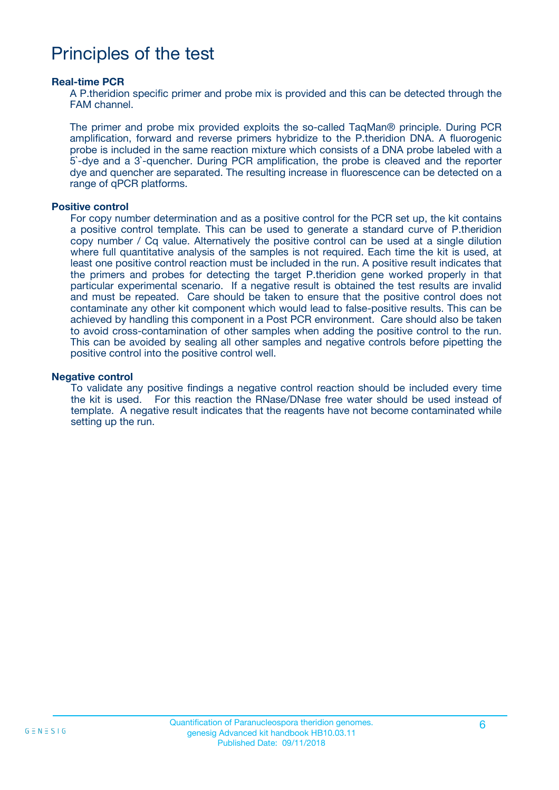### Principles of the test

#### **Real-time PCR**

A P.theridion specific primer and probe mix is provided and this can be detected through the FAM channel.

The primer and probe mix provided exploits the so-called TaqMan® principle. During PCR amplification, forward and reverse primers hybridize to the P.theridion DNA. A fluorogenic probe is included in the same reaction mixture which consists of a DNA probe labeled with a 5`-dye and a 3`-quencher. During PCR amplification, the probe is cleaved and the reporter dye and quencher are separated. The resulting increase in fluorescence can be detected on a range of qPCR platforms.

#### **Positive control**

For copy number determination and as a positive control for the PCR set up, the kit contains a positive control template. This can be used to generate a standard curve of P.theridion copy number / Cq value. Alternatively the positive control can be used at a single dilution where full quantitative analysis of the samples is not required. Each time the kit is used, at least one positive control reaction must be included in the run. A positive result indicates that the primers and probes for detecting the target P.theridion gene worked properly in that particular experimental scenario. If a negative result is obtained the test results are invalid and must be repeated. Care should be taken to ensure that the positive control does not contaminate any other kit component which would lead to false-positive results. This can be achieved by handling this component in a Post PCR environment. Care should also be taken to avoid cross-contamination of other samples when adding the positive control to the run. This can be avoided by sealing all other samples and negative controls before pipetting the positive control into the positive control well.

#### **Negative control**

To validate any positive findings a negative control reaction should be included every time the kit is used. For this reaction the RNase/DNase free water should be used instead of template. A negative result indicates that the reagents have not become contaminated while setting up the run.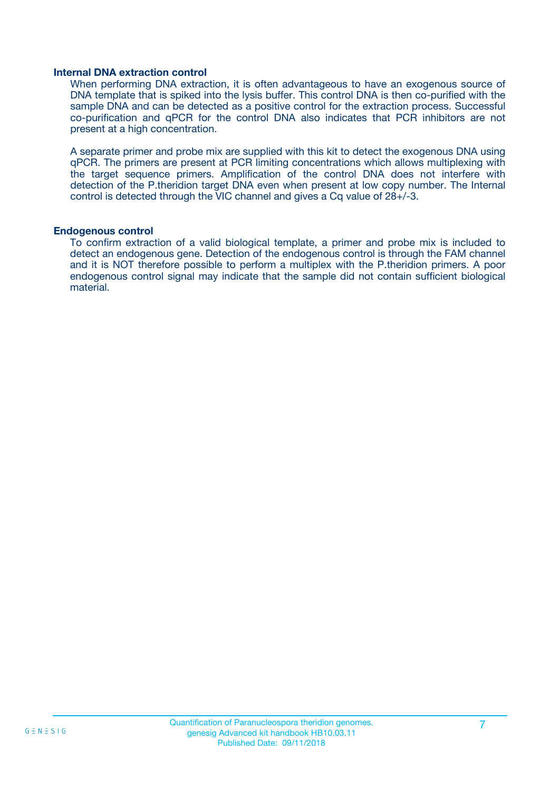#### **Internal DNA extraction control**

When performing DNA extraction, it is often advantageous to have an exogenous source of DNA template that is spiked into the lysis buffer. This control DNA is then co-purified with the sample DNA and can be detected as a positive control for the extraction process. Successful co-purification and qPCR for the control DNA also indicates that PCR inhibitors are not present at a high concentration.

A separate primer and probe mix are supplied with this kit to detect the exogenous DNA using qPCR. The primers are present at PCR limiting concentrations which allows multiplexing with the target sequence primers. Amplification of the control DNA does not interfere with detection of the P.theridion target DNA even when present at low copy number. The Internal control is detected through the VIC channel and gives a Cq value of 28+/-3.

#### **Endogenous control**

To confirm extraction of a valid biological template, a primer and probe mix is included to detect an endogenous gene. Detection of the endogenous control is through the FAM channel and it is NOT therefore possible to perform a multiplex with the P.theridion primers. A poor endogenous control signal may indicate that the sample did not contain sufficient biological material.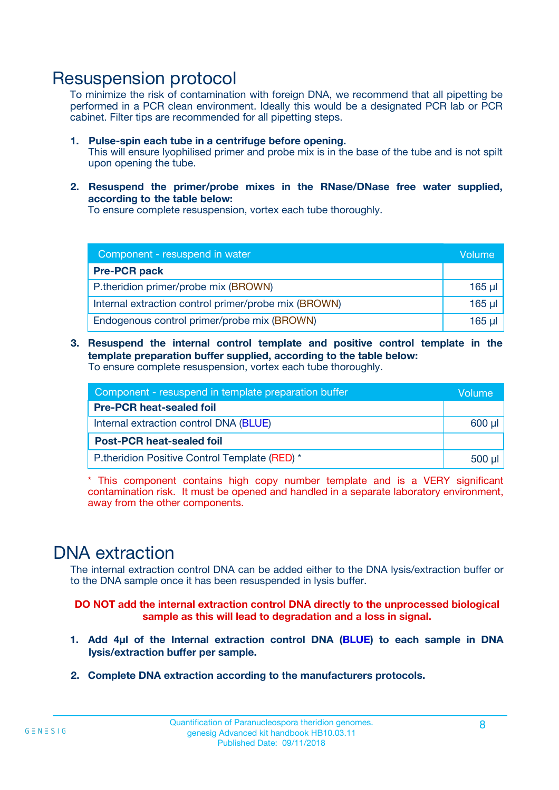### Resuspension protocol

To minimize the risk of contamination with foreign DNA, we recommend that all pipetting be performed in a PCR clean environment. Ideally this would be a designated PCR lab or PCR cabinet. Filter tips are recommended for all pipetting steps.

- **1. Pulse-spin each tube in a centrifuge before opening.** This will ensure lyophilised primer and probe mix is in the base of the tube and is not spilt upon opening the tube.
- **2. Resuspend the primer/probe mixes in the RNase/DNase free water supplied, according to the table below:**

To ensure complete resuspension, vortex each tube thoroughly.

| Component - resuspend in water                       |          |  |
|------------------------------------------------------|----------|--|
| <b>Pre-PCR pack</b>                                  |          |  |
| P.theridion primer/probe mix (BROWN)                 | $165$ µ  |  |
| Internal extraction control primer/probe mix (BROWN) | $165$ µl |  |
| Endogenous control primer/probe mix (BROWN)          | 165 µl   |  |

**3. Resuspend the internal control template and positive control template in the template preparation buffer supplied, according to the table below:** To ensure complete resuspension, vortex each tube thoroughly.

| Component - resuspend in template preparation buffer |  |  |  |
|------------------------------------------------------|--|--|--|
| <b>Pre-PCR heat-sealed foil</b>                      |  |  |  |
| Internal extraction control DNA (BLUE)               |  |  |  |
| <b>Post-PCR heat-sealed foil</b>                     |  |  |  |
| P.theridion Positive Control Template (RED) *        |  |  |  |

\* This component contains high copy number template and is a VERY significant contamination risk. It must be opened and handled in a separate laboratory environment, away from the other components.

### DNA extraction

The internal extraction control DNA can be added either to the DNA lysis/extraction buffer or to the DNA sample once it has been resuspended in lysis buffer.

**DO NOT add the internal extraction control DNA directly to the unprocessed biological sample as this will lead to degradation and a loss in signal.**

- **1. Add 4µl of the Internal extraction control DNA (BLUE) to each sample in DNA lysis/extraction buffer per sample.**
- **2. Complete DNA extraction according to the manufacturers protocols.**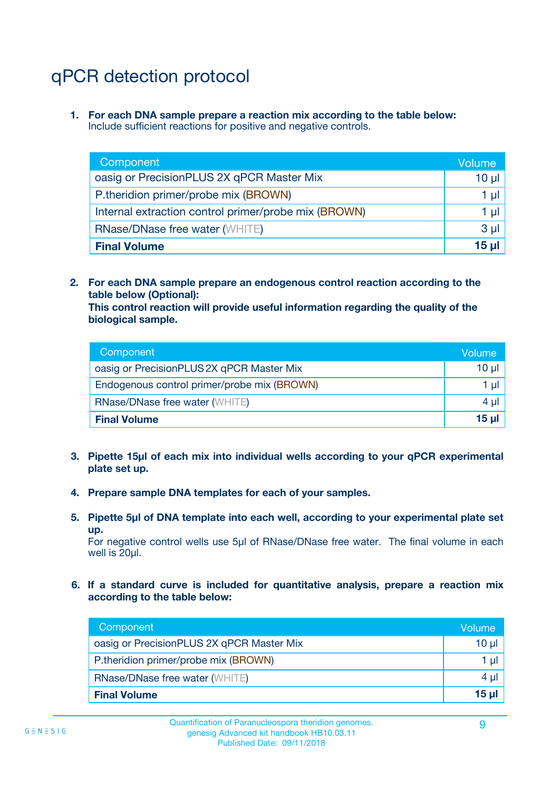# qPCR detection protocol

**1. For each DNA sample prepare a reaction mix according to the table below:** Include sufficient reactions for positive and negative controls.

| Component                                            | Volume   |
|------------------------------------------------------|----------|
| oasig or PrecisionPLUS 2X qPCR Master Mix            | $10 \mu$ |
| P.theridion primer/probe mix (BROWN)                 | 1 µI     |
| Internal extraction control primer/probe mix (BROWN) | 1 µl     |
| <b>RNase/DNase free water (WHITE)</b>                | $3 \mu$  |
| <b>Final Volume</b>                                  | 15 µl    |

**2. For each DNA sample prepare an endogenous control reaction according to the table below (Optional):**

**This control reaction will provide useful information regarding the quality of the biological sample.**

| Component                                   | Volume   |
|---------------------------------------------|----------|
| oasig or PrecisionPLUS 2X qPCR Master Mix   | $10 \mu$ |
| Endogenous control primer/probe mix (BROWN) | 1 µI     |
| <b>RNase/DNase free water (WHITE)</b>       | $4 \mu$  |
| <b>Final Volume</b>                         | 15 µl    |

- **3. Pipette 15µl of each mix into individual wells according to your qPCR experimental plate set up.**
- **4. Prepare sample DNA templates for each of your samples.**
- **5. Pipette 5µl of DNA template into each well, according to your experimental plate set up.**

For negative control wells use 5µl of RNase/DNase free water. The final volume in each well is 20ul.

**6. If a standard curve is included for quantitative analysis, prepare a reaction mix according to the table below:**

| Component                                 | Volume   |
|-------------------------------------------|----------|
| oasig or PrecisionPLUS 2X qPCR Master Mix | 10 µl    |
| P.theridion primer/probe mix (BROWN)      | 1 µI     |
| <b>RNase/DNase free water (WHITE)</b>     | 4 µl     |
| <b>Final Volume</b>                       | $15 \mu$ |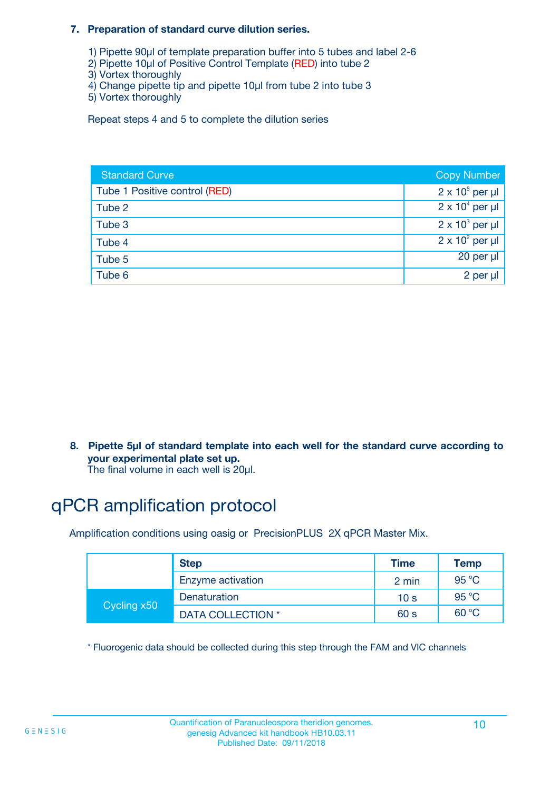#### **7. Preparation of standard curve dilution series.**

- 1) Pipette 90µl of template preparation buffer into 5 tubes and label 2-6
- 2) Pipette 10µl of Positive Control Template (RED) into tube 2
- 3) Vortex thoroughly
- 4) Change pipette tip and pipette 10µl from tube 2 into tube 3
- 5) Vortex thoroughly

Repeat steps 4 and 5 to complete the dilution series

| <b>Standard Curve</b>         | <b>Copy Number</b>     |
|-------------------------------|------------------------|
| Tube 1 Positive control (RED) | $2 \times 10^5$ per µl |
| Tube 2                        | $2 \times 10^4$ per µl |
| Tube 3                        | $2 \times 10^3$ per µl |
| Tube 4                        | $2 \times 10^2$ per µl |
| Tube 5                        | 20 per µl              |
| Tube 6                        | 2 per µl               |

**8. Pipette 5µl of standard template into each well for the standard curve according to your experimental plate set up.**

#### The final volume in each well is 20µl.

# qPCR amplification protocol

Amplification conditions using oasig or PrecisionPLUS 2X qPCR Master Mix.

|             | <b>Step</b>       | <b>Time</b>     | Temp    |
|-------------|-------------------|-----------------|---------|
|             | Enzyme activation | 2 min           | 95 °C   |
| Cycling x50 | Denaturation      | 10 <sub>s</sub> | 95 $°C$ |
|             | DATA COLLECTION * | 60 s            | 60 °C   |

\* Fluorogenic data should be collected during this step through the FAM and VIC channels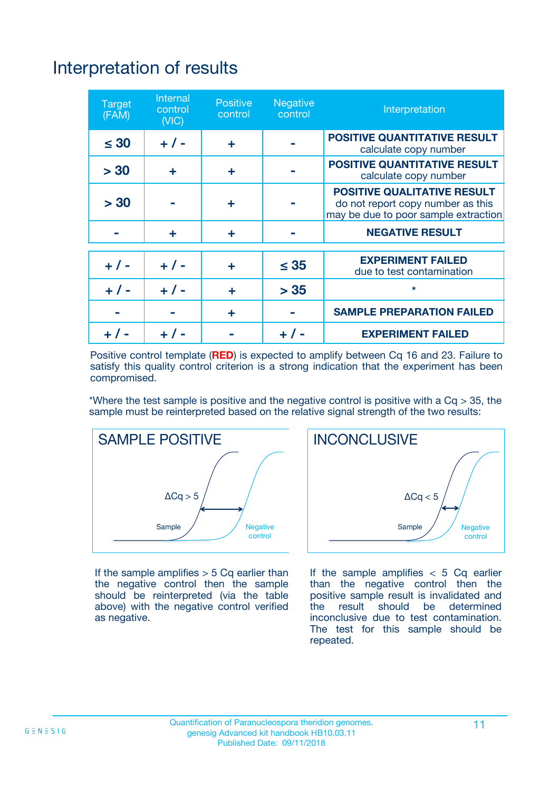# Interpretation of results

| <b>Target</b><br>(FAM) | <b>Internal</b><br>control<br>(NIC) | <b>Positive</b><br>control | <b>Negative</b><br>control | Interpretation                                                                                                  |
|------------------------|-------------------------------------|----------------------------|----------------------------|-----------------------------------------------------------------------------------------------------------------|
| $\leq 30$              | $+ 1 -$                             | ÷                          |                            | <b>POSITIVE QUANTITATIVE RESULT</b><br>calculate copy number                                                    |
| > 30                   | ٠                                   | ÷                          |                            | <b>POSITIVE QUANTITATIVE RESULT</b><br>calculate copy number                                                    |
| > 30                   |                                     | ÷                          |                            | <b>POSITIVE QUALITATIVE RESULT</b><br>do not report copy number as this<br>may be due to poor sample extraction |
|                        | ÷                                   | ÷                          |                            | <b>NEGATIVE RESULT</b>                                                                                          |
| $+ 1 -$                | $+ 1 -$                             | ÷                          | $\leq$ 35                  | <b>EXPERIMENT FAILED</b><br>due to test contamination                                                           |
| $+$ / -                | $+ 1 -$                             | ÷                          | > 35                       | $\star$                                                                                                         |
|                        |                                     | ÷                          |                            | <b>SAMPLE PREPARATION FAILED</b>                                                                                |
|                        |                                     |                            | $+$ /                      | <b>EXPERIMENT FAILED</b>                                                                                        |

Positive control template (**RED**) is expected to amplify between Cq 16 and 23. Failure to satisfy this quality control criterion is a strong indication that the experiment has been compromised.

\*Where the test sample is positive and the negative control is positive with a  $Ca > 35$ , the sample must be reinterpreted based on the relative signal strength of the two results:



If the sample amplifies  $> 5$  Cq earlier than the negative control then the sample should be reinterpreted (via the table above) with the negative control verified as negative.



If the sample amplifies  $< 5$  Cq earlier than the negative control then the positive sample result is invalidated and<br>the result should be determined  $the$  result should be inconclusive due to test contamination. The test for this sample should be repeated.